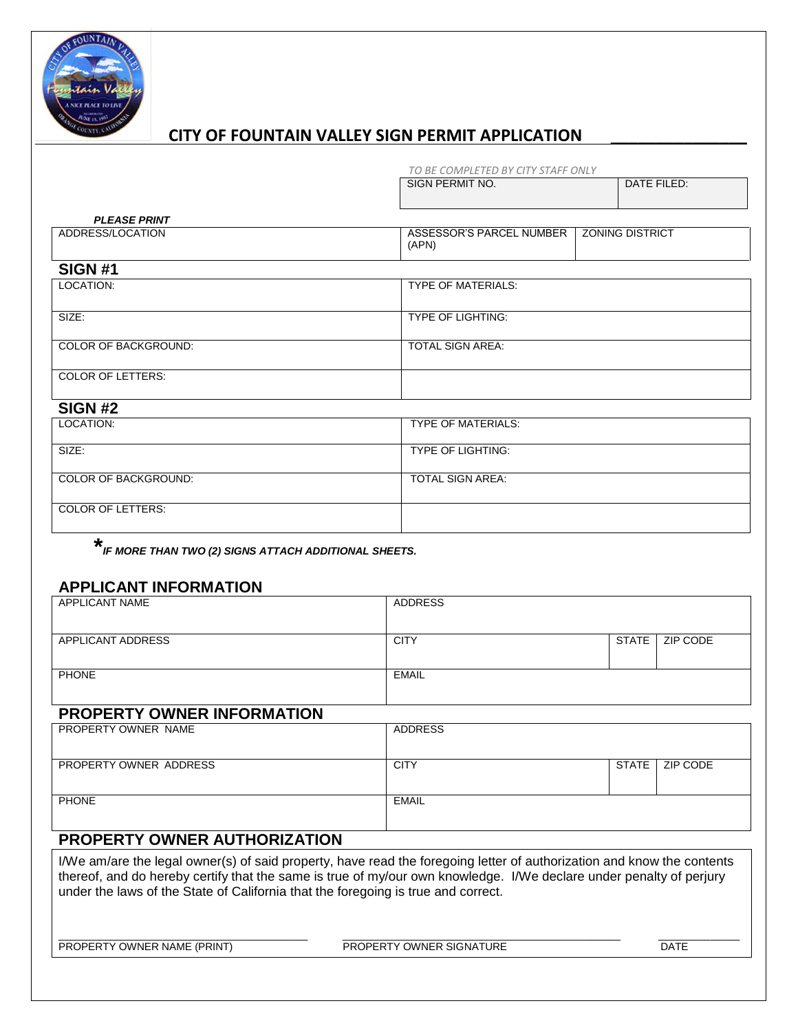

## **CITY OF FOUNTAIN VALLEY SIGN PERMIT APPLICATION \_\_\_\_\_\_\_\_\_\_\_\_\_\_\_**

|                          | TO BE COMPLETED BY CITY STAFF ONLY |                        |  |  |
|--------------------------|------------------------------------|------------------------|--|--|
|                          | SIGN PERMIT NO.                    | DATE FILED:            |  |  |
| <b>PLEASE PRINT</b>      |                                    |                        |  |  |
| ADDRESS/LOCATION         | ASSESSOR'S PARCEL NUMBER<br>(APN)  | <b>ZONING DISTRICT</b> |  |  |
| <b>SIGN #1</b>           |                                    |                        |  |  |
| LOCATION:                | <b>TYPE OF MATERIALS:</b>          |                        |  |  |
| SIZE:                    | TYPE OF LIGHTING:                  |                        |  |  |
| COLOR OF BACKGROUND:     | TOTAL SIGN AREA:                   |                        |  |  |
| <b>COLOR OF LETTERS:</b> |                                    |                        |  |  |
| <b>SIGN #2</b>           |                                    |                        |  |  |
| LOCATION:                | <b>TYPE OF MATERIALS:</b>          |                        |  |  |
| SIZE:                    | TYPE OF LIGHTING:                  |                        |  |  |
| COLOR OF BACKGROUND:     | <b>TOTAL SIGN AREA:</b>            |                        |  |  |
| <b>COLOR OF LETTERS:</b> |                                    |                        |  |  |

**\*** *IF MORE THAN TWO (2) SIGNS ATTACH ADDITIONAL SHEETS.*

#### **APPLICANT INFORMATION**

| <b>APPLICANT NAME</b>                                                                                                  | <b>ADDRESS</b> |              |          |  |
|------------------------------------------------------------------------------------------------------------------------|----------------|--------------|----------|--|
|                                                                                                                        |                |              |          |  |
| APPLICANT ADDRESS                                                                                                      | <b>CITY</b>    | <b>STATE</b> | ZIP CODE |  |
|                                                                                                                        |                |              |          |  |
| <b>PHONE</b>                                                                                                           | <b>EMAIL</b>   |              |          |  |
|                                                                                                                        |                |              |          |  |
| <b>PROPERTY OWNER INFORMATION</b>                                                                                      |                |              |          |  |
| PROPERTY OWNER NAME                                                                                                    | <b>ADDRESS</b> |              |          |  |
|                                                                                                                        |                |              |          |  |
| PROPERTY OWNER ADDRESS                                                                                                 | <b>CITY</b>    | <b>STATE</b> | ZIP CODE |  |
|                                                                                                                        |                |              |          |  |
| <b>PHONE</b>                                                                                                           | <b>EMAIL</b>   |              |          |  |
|                                                                                                                        |                |              |          |  |
| <b>PROPERTY OWNER AUTHORIZATION</b>                                                                                    |                |              |          |  |
|                                                                                                                        |                |              |          |  |
| I/We am/are the legal owner(s) of said property, have read the foregoing letter of authorization and know the contents |                |              |          |  |

thereof, and do hereby certify that the same is true of my/our own knowledge. I/We declare under penalty of perjury under the laws of the State of California that the foregoing is true and correct.

\_\_\_\_\_\_\_\_\_\_\_\_\_\_\_\_\_\_\_\_\_\_\_\_\_\_\_\_\_\_\_\_\_\_\_\_\_\_\_\_\_\_\_ \_\_\_\_\_\_\_\_\_\_\_\_\_\_\_\_\_\_\_\_\_\_\_\_\_\_\_\_\_\_\_\_\_\_\_\_\_\_\_\_\_\_\_\_\_\_\_\_ \_\_\_\_\_\_\_\_\_\_\_\_\_\_ PROPERTY OWNER NAME (PRINT) PROPERTY OWNER SIGNATURE DATE